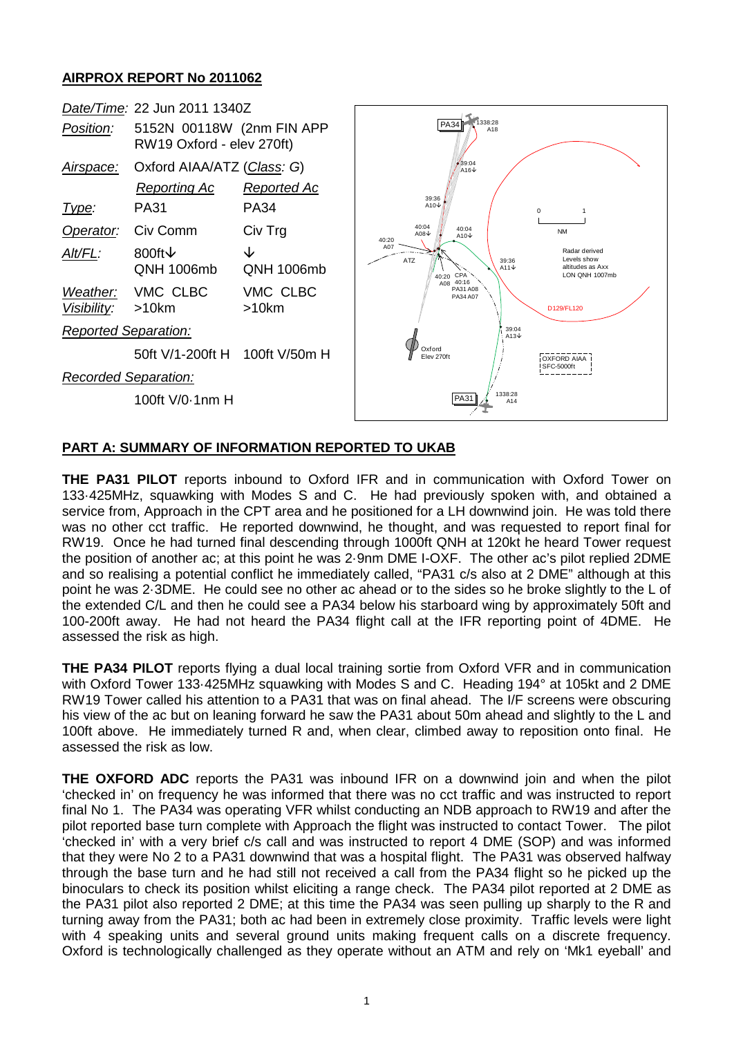## **AIRPROX REPORT No 2011062**



## **PART A: SUMMARY OF INFORMATION REPORTED TO UKAB**

**THE PA31 PILOT** reports inbound to Oxford IFR and in communication with Oxford Tower on 133·425MHz, squawking with Modes S and C. He had previously spoken with, and obtained a service from, Approach in the CPT area and he positioned for a LH downwind join. He was told there was no other cct traffic. He reported downwind, he thought, and was requested to report final for RW19. Once he had turned final descending through 1000ft QNH at 120kt he heard Tower request the position of another ac; at this point he was 2·9nm DME I-OXF. The other ac's pilot replied 2DME and so realising a potential conflict he immediately called, "PA31 c/s also at 2 DME" although at this point he was 2·3DME. He could see no other ac ahead or to the sides so he broke slightly to the L of the extended C/L and then he could see a PA34 below his starboard wing by approximately 50ft and 100-200ft away. He had not heard the PA34 flight call at the IFR reporting point of 4DME. He assessed the risk as high.

**THE PA34 PILOT** reports flying a dual local training sortie from Oxford VFR and in communication with Oxford Tower 133·425MHz squawking with Modes S and C. Heading 194° at 105kt and 2 DME RW19 Tower called his attention to a PA31 that was on final ahead. The I/F screens were obscuring his view of the ac but on leaning forward he saw the PA31 about 50m ahead and slightly to the L and 100ft above. He immediately turned R and, when clear, climbed away to reposition onto final. He assessed the risk as low.

**THE OXFORD ADC** reports the PA31 was inbound IFR on a downwind join and when the pilot 'checked in' on frequency he was informed that there was no cct traffic and was instructed to report final No 1. The PA34 was operating VFR whilst conducting an NDB approach to RW19 and after the pilot reported base turn complete with Approach the flight was instructed to contact Tower. The pilot 'checked in' with a very brief c/s call and was instructed to report 4 DME (SOP) and was informed that they were No 2 to a PA31 downwind that was a hospital flight. The PA31 was observed halfway through the base turn and he had still not received a call from the PA34 flight so he picked up the binoculars to check its position whilst eliciting a range check. The PA34 pilot reported at 2 DME as the PA31 pilot also reported 2 DME; at this time the PA34 was seen pulling up sharply to the R and turning away from the PA31; both ac had been in extremely close proximity. Traffic levels were light with 4 speaking units and several ground units making frequent calls on a discrete frequency. Oxford is technologically challenged as they operate without an ATM and rely on 'Mk1 eyeball' and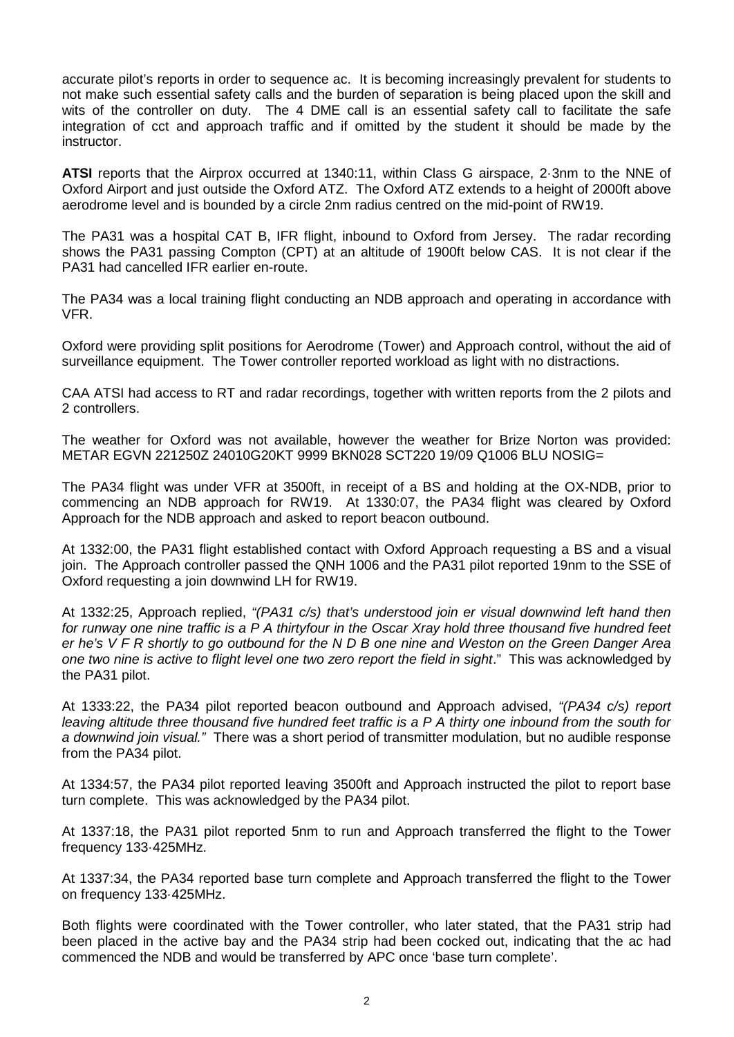accurate pilot's reports in order to sequence ac. It is becoming increasingly prevalent for students to not make such essential safety calls and the burden of separation is being placed upon the skill and wits of the controller on duty. The 4 DME call is an essential safety call to facilitate the safe integration of cct and approach traffic and if omitted by the student it should be made by the instructor.

**ATSI** reports that the Airprox occurred at 1340:11, within Class G airspace, 2·3nm to the NNE of Oxford Airport and just outside the Oxford ATZ. The Oxford ATZ extends to a height of 2000ft above aerodrome level and is bounded by a circle 2nm radius centred on the mid-point of RW19.

The PA31 was a hospital CAT B, IFR flight, inbound to Oxford from Jersey. The radar recording shows the PA31 passing Compton (CPT) at an altitude of 1900ft below CAS. It is not clear if the PA31 had cancelled IFR earlier en-route.

The PA34 was a local training flight conducting an NDB approach and operating in accordance with VFR.

Oxford were providing split positions for Aerodrome (Tower) and Approach control, without the aid of surveillance equipment. The Tower controller reported workload as light with no distractions.

CAA ATSI had access to RT and radar recordings, together with written reports from the 2 pilots and 2 controllers.

The weather for Oxford was not available, however the weather for Brize Norton was provided: METAR EGVN 221250Z 24010G20KT 9999 BKN028 SCT220 19/09 Q1006 BLU NOSIG=

The PA34 flight was under VFR at 3500ft, in receipt of a BS and holding at the OX-NDB, prior to commencing an NDB approach for RW19. At 1330:07, the PA34 flight was cleared by Oxford Approach for the NDB approach and asked to report beacon outbound.

At 1332:00, the PA31 flight established contact with Oxford Approach requesting a BS and a visual join. The Approach controller passed the QNH 1006 and the PA31 pilot reported 19nm to the SSE of Oxford requesting a join downwind LH for RW19.

At 1332:25, Approach replied, *"(PA31 c/s) that's understood join er visual downwind left hand then for runway one nine traffic is a P A thirtyfour in the Oscar Xray hold three thousand five hundred feet er he's V F R shortly to go outbound for the N D B one nine and Weston on the Green Danger Area one two nine is active to flight level one two zero report the field in sight*." This was acknowledged by the PA31 pilot.

At 1333:22, the PA34 pilot reported beacon outbound and Approach advised, *"(PA34 c/s) report leaving altitude three thousand five hundred feet traffic is a P A thirty one inbound from the south for a downwind join visual."* There was a short period of transmitter modulation, but no audible response from the PA34 pilot.

At 1334:57, the PA34 pilot reported leaving 3500ft and Approach instructed the pilot to report base turn complete. This was acknowledged by the PA34 pilot.

At 1337:18, the PA31 pilot reported 5nm to run and Approach transferred the flight to the Tower frequency 133·425MHz.

At 1337:34, the PA34 reported base turn complete and Approach transferred the flight to the Tower on frequency 133·425MHz.

Both flights were coordinated with the Tower controller, who later stated, that the PA31 strip had been placed in the active bay and the PA34 strip had been cocked out, indicating that the ac had commenced the NDB and would be transferred by APC once 'base turn complete'.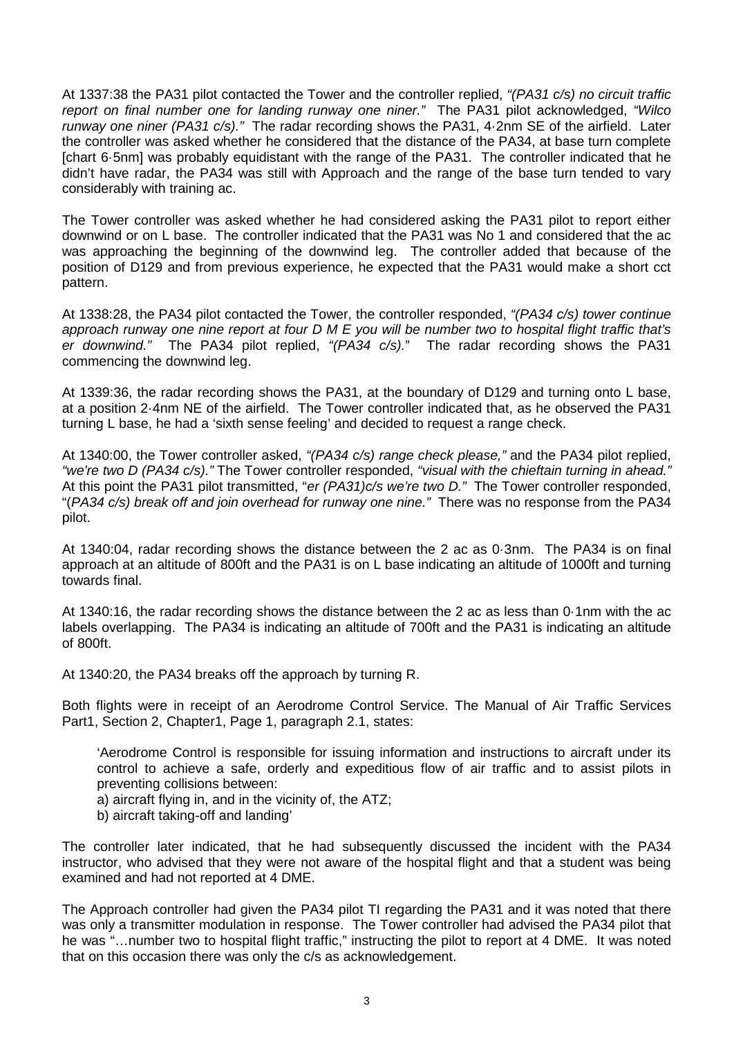At 1337:38 the PA31 pilot contacted the Tower and the controller replied, *"(PA31 c/s) no circuit traffic report on final number one for landing runway one niner."* The PA31 pilot acknowledged, *"Wilco runway one niner (PA31 c/s)."* The radar recording shows the PA31, 4·2nm SE of the airfield. Later the controller was asked whether he considered that the distance of the PA34, at base turn complete [chart 6·5nm] was probably equidistant with the range of the PA31. The controller indicated that he didn't have radar, the PA34 was still with Approach and the range of the base turn tended to vary considerably with training ac.

The Tower controller was asked whether he had considered asking the PA31 pilot to report either downwind or on L base. The controller indicated that the PA31 was No 1 and considered that the ac was approaching the beginning of the downwind leg. The controller added that because of the position of D129 and from previous experience, he expected that the PA31 would make a short cct pattern.

At 1338:28, the PA34 pilot contacted the Tower, the controller responded, *"(PA34 c/s) tower continue approach runway one nine report at four D M E you will be number two to hospital flight traffic that's er downwind."* The PA34 pilot replied, *"(PA34 c/s).*" The radar recording shows the PA31 commencing the downwind leg.

At 1339:36, the radar recording shows the PA31, at the boundary of D129 and turning onto L base, at a position 2·4nm NE of the airfield. The Tower controller indicated that, as he observed the PA31 turning L base, he had a 'sixth sense feeling' and decided to request a range check.

At 1340:00, the Tower controller asked, *"(PA34 c/s) range check please,"* and the PA34 pilot replied, *"we're two D (PA34 c/s)."* The Tower controller responded, *"visual with the chieftain turning in ahead."*  At this point the PA31 pilot transmitted, "*er (PA31)c/s we're two D."* The Tower controller responded, "(*PA34 c/s) break off and join overhead for runway one nine."* There was no response from the PA34 pilot.

At 1340:04, radar recording shows the distance between the 2 ac as 0·3nm. The PA34 is on final approach at an altitude of 800ft and the PA31 is on L base indicating an altitude of 1000ft and turning towards final.

At 1340:16, the radar recording shows the distance between the 2 ac as less than 0·1nm with the ac labels overlapping. The PA34 is indicating an altitude of 700ft and the PA31 is indicating an altitude of 800ft.

At 1340:20, the PA34 breaks off the approach by turning R.

Both flights were in receipt of an Aerodrome Control Service. The Manual of Air Traffic Services Part1, Section 2, Chapter1, Page 1, paragraph 2.1, states:

'Aerodrome Control is responsible for issuing information and instructions to aircraft under its control to achieve a safe, orderly and expeditious flow of air traffic and to assist pilots in preventing collisions between:

- a) aircraft flying in, and in the vicinity of, the ATZ;
- b) aircraft taking-off and landing'

The controller later indicated, that he had subsequently discussed the incident with the PA34 instructor, who advised that they were not aware of the hospital flight and that a student was being examined and had not reported at 4 DME.

The Approach controller had given the PA34 pilot TI regarding the PA31 and it was noted that there was only a transmitter modulation in response. The Tower controller had advised the PA34 pilot that he was "…number two to hospital flight traffic," instructing the pilot to report at 4 DME. It was noted that on this occasion there was only the c/s as acknowledgement.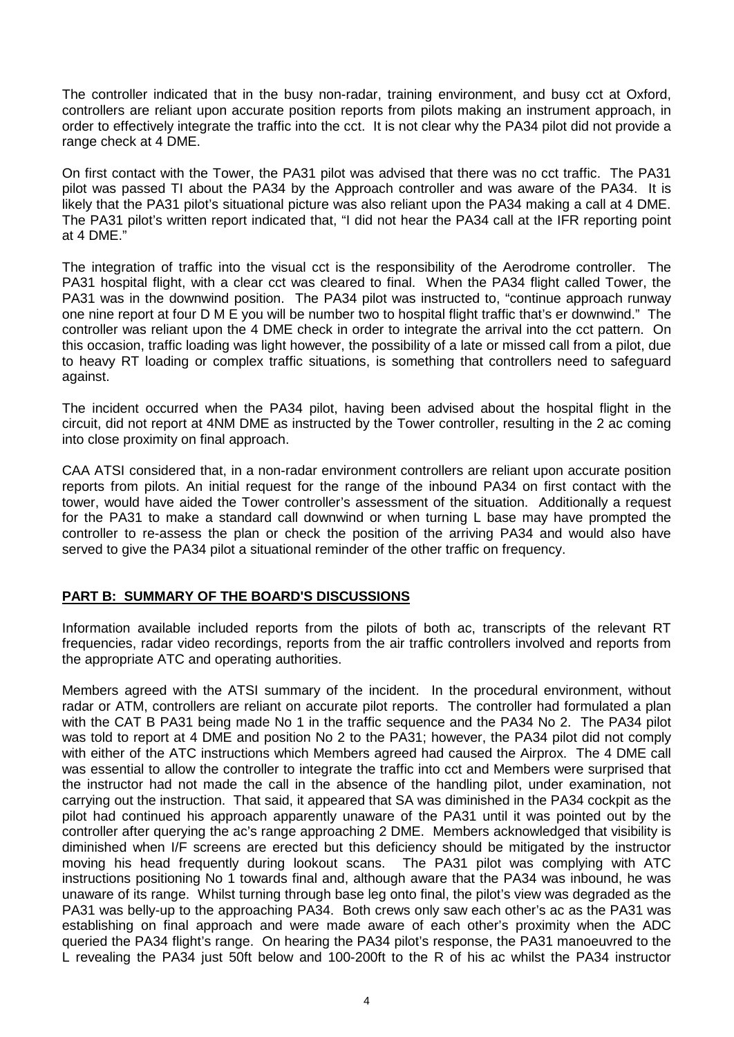The controller indicated that in the busy non-radar, training environment, and busy cct at Oxford, controllers are reliant upon accurate position reports from pilots making an instrument approach, in order to effectively integrate the traffic into the cct. It is not clear why the PA34 pilot did not provide a range check at 4 DME.

On first contact with the Tower, the PA31 pilot was advised that there was no cct traffic. The PA31 pilot was passed TI about the PA34 by the Approach controller and was aware of the PA34. It is likely that the PA31 pilot's situational picture was also reliant upon the PA34 making a call at 4 DME. The PA31 pilot's written report indicated that, "I did not hear the PA34 call at the IFR reporting point at 4 DME."

The integration of traffic into the visual cct is the responsibility of the Aerodrome controller. The PA31 hospital flight, with a clear cct was cleared to final. When the PA34 flight called Tower, the PA31 was in the downwind position. The PA34 pilot was instructed to, "continue approach runway one nine report at four D M E you will be number two to hospital flight traffic that's er downwind." The controller was reliant upon the 4 DME check in order to integrate the arrival into the cct pattern. On this occasion, traffic loading was light however, the possibility of a late or missed call from a pilot, due to heavy RT loading or complex traffic situations, is something that controllers need to safeguard against.

The incident occurred when the PA34 pilot, having been advised about the hospital flight in the circuit, did not report at 4NM DME as instructed by the Tower controller, resulting in the 2 ac coming into close proximity on final approach.

CAA ATSI considered that, in a non-radar environment controllers are reliant upon accurate position reports from pilots. An initial request for the range of the inbound PA34 on first contact with the tower, would have aided the Tower controller's assessment of the situation. Additionally a request for the PA31 to make a standard call downwind or when turning L base may have prompted the controller to re-assess the plan or check the position of the arriving PA34 and would also have served to give the PA34 pilot a situational reminder of the other traffic on frequency.

## **PART B: SUMMARY OF THE BOARD'S DISCUSSIONS**

Information available included reports from the pilots of both ac, transcripts of the relevant RT frequencies, radar video recordings, reports from the air traffic controllers involved and reports from the appropriate ATC and operating authorities.

Members agreed with the ATSI summary of the incident. In the procedural environment, without radar or ATM, controllers are reliant on accurate pilot reports. The controller had formulated a plan with the CAT B PA31 being made No 1 in the traffic sequence and the PA34 No 2. The PA34 pilot was told to report at 4 DME and position No 2 to the PA31; however, the PA34 pilot did not comply with either of the ATC instructions which Members agreed had caused the Airprox. The 4 DME call was essential to allow the controller to integrate the traffic into cct and Members were surprised that the instructor had not made the call in the absence of the handling pilot, under examination, not carrying out the instruction. That said, it appeared that SA was diminished in the PA34 cockpit as the pilot had continued his approach apparently unaware of the PA31 until it was pointed out by the controller after querying the ac's range approaching 2 DME. Members acknowledged that visibility is diminished when I/F screens are erected but this deficiency should be mitigated by the instructor moving his head frequently during lookout scans. The PA31 pilot was complying with ATC instructions positioning No 1 towards final and, although aware that the PA34 was inbound, he was unaware of its range. Whilst turning through base leg onto final, the pilot's view was degraded as the PA31 was belly-up to the approaching PA34. Both crews only saw each other's ac as the PA31 was establishing on final approach and were made aware of each other's proximity when the ADC queried the PA34 flight's range. On hearing the PA34 pilot's response, the PA31 manoeuvred to the L revealing the PA34 just 50ft below and 100-200ft to the R of his ac whilst the PA34 instructor